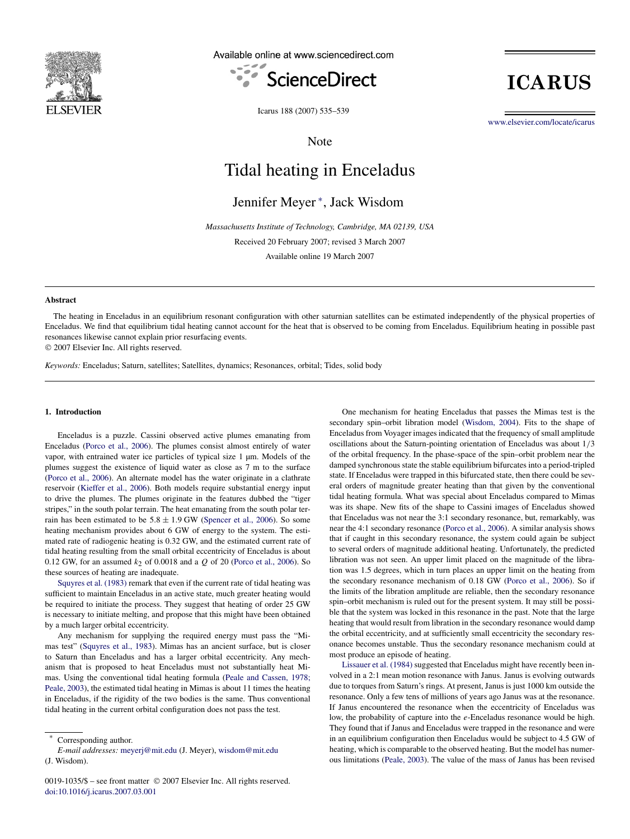

Available online at www.sciencedirect.com



**ICARUS** 

Icarus 188 (2007) 535–539

Note

[www.elsevier.com/locate/icarus](http://www.elsevier.com/locate/icarus)

# Tidal heating in Enceladus

Jennifer Meyer <sup>∗</sup> , Jack Wisdom

*Massachusetts Institute of Technology, Cambridge, MA 02139, USA*

Received 20 February 2007; revised 3 March 2007

Available online 19 March 2007

#### **Abstract**

The heating in Enceladus in an equilibrium resonant configuration with other saturnian satellites can be estimated independently of the physical properties of Enceladus. We find that equilibrium tidal heating cannot account for the heat that is observed to be coming from Enceladus. Equilibrium heating in possible past resonances likewise cannot explain prior resurfacing events.

© 2007 Elsevier Inc. All rights reserved.

*Keywords:* Enceladus; Saturn, satellites; Satellites, dynamics; Resonances, orbital; Tides, solid body

## **1. Introduction**

Enceladus is a puzzle. Cassini observed active plumes emanating from Enceladus [\(Porco et al., 2006\)](#page-4-0). The plumes consist almost entirely of water vapor, with entrained water ice particles of typical size 1 µm. Models of the plumes suggest the existence of liquid water as close as 7 m to the surface [\(Porco et al., 2006\)](#page-4-0). An alternate model has the water originate in a clathrate reservoir [\(Kieffer et al., 2006\)](#page-4-0). Both models require substantial energy input to drive the plumes. The plumes originate in the features dubbed the "tiger stripes," in the south polar terrain. The heat emanating from the south polar terrain has been estimated to be  $5.8 \pm 1.9$  GW [\(Spencer et al., 2006\)](#page-4-0). So some heating mechanism provides about 6 GW of energy to the system. The estimated rate of radiogenic heating is 0.32 GW, and the estimated current rate of tidal heating resulting from the small orbital eccentricity of Enceladus is about 0.12 GW, for an assumed *k*2 of 0.0018 and a *Q* of 20 [\(Porco et al., 2006\)](#page-4-0). So these sources of heating are inadequate.

[Squyres et al. \(1983\)](#page-4-0) remark that even if the current rate of tidal heating was sufficient to maintain Enceladus in an active state, much greater heating would be required to initiate the process. They suggest that heating of order 25 GW is necessary to initiate melting, and propose that this might have been obtained by a much larger orbital eccentricity.

Any mechanism for supplying the required energy must pass the "Mimas test" [\(Squyres et al., 1983\)](#page-4-0). Mimas has an ancient surface, but is closer to Saturn than Enceladus and has a larger orbital eccentricity. Any mechanism that is proposed to heat Enceladus must not substantially heat Mimas. Using the conventional tidal heating formula [\(Peale and Cassen, 1978;](#page-4-0) [Peale, 2003\)](#page-4-0), the estimated tidal heating in Mimas is about 11 times the heating in Enceladus, if the rigidity of the two bodies is the same. Thus conventional tidal heating in the current orbital configuration does not pass the test.

Corresponding author.

One mechanism for heating Enceladus that passes the Mimas test is the secondary spin–orbit libration model [\(Wisdom, 2004\)](#page-4-0). Fits to the shape of Enceladus from Voyager images indicated that the frequency of small amplitude oscillations about the Saturn-pointing orientation of Enceladus was about 1*/*3 of the orbital frequency. In the phase-space of the spin–orbit problem near the damped synchronous state the stable equilibrium bifurcates into a period-tripled state. If Enceladus were trapped in this bifurcated state, then there could be several orders of magnitude greater heating than that given by the conventional tidal heating formula. What was special about Enceladus compared to Mimas was its shape. New fits of the shape to Cassini images of Enceladus showed that Enceladus was not near the 3:1 secondary resonance, but, remarkably, was near the 4:1 secondary resonance [\(Porco et al., 2006\)](#page-4-0). A similar analysis shows that if caught in this secondary resonance, the system could again be subject to several orders of magnitude additional heating. Unfortunately, the predicted libration was not seen. An upper limit placed on the magnitude of the libration was 1.5 degrees, which in turn places an upper limit on the heating from the secondary resonance mechanism of 0.18 GW [\(Porco et al., 2006\)](#page-4-0). So if the limits of the libration amplitude are reliable, then the secondary resonance spin–orbit mechanism is ruled out for the present system. It may still be possible that the system was locked in this resonance in the past. Note that the large heating that would result from libration in the secondary resonance would damp the orbital eccentricity, and at sufficiently small eccentricity the secondary resonance becomes unstable. Thus the secondary resonance mechanism could at most produce an episode of heating.

[Lissauer et al. \(1984\)](#page-4-0) suggested that Enceladus might have recently been involved in a 2:1 mean motion resonance with Janus. Janus is evolving outwards due to torques from Saturn's rings. At present, Janus is just 1000 km outside the resonance. Only a few tens of millions of years ago Janus was at the resonance. If Janus encountered the resonance when the eccentricity of Enceladus was low, the probability of capture into the *e*-Enceladus resonance would be high. They found that if Janus and Enceladus were trapped in the resonance and were in an equilibrium configuration then Enceladus would be subject to 4.5 GW of heating, which is comparable to the observed heating. But the model has numerous limitations [\(Peale, 2003\)](#page-4-0). The value of the mass of Janus has been revised

*E-mail addresses:* [meyerj@mit.edu](mailto:meyerj@mit.edu) (J. Meyer), [wisdom@mit.edu](mailto:wisdom@mit.edu) (J. Wisdom).

<sup>0019-1035/\$ –</sup> see front matter © 2007 Elsevier Inc. All rights reserved. [doi:10.1016/j.icarus.2007.03.001](http://dx.doi.org/10.1016/j.icarus.2007.03.001)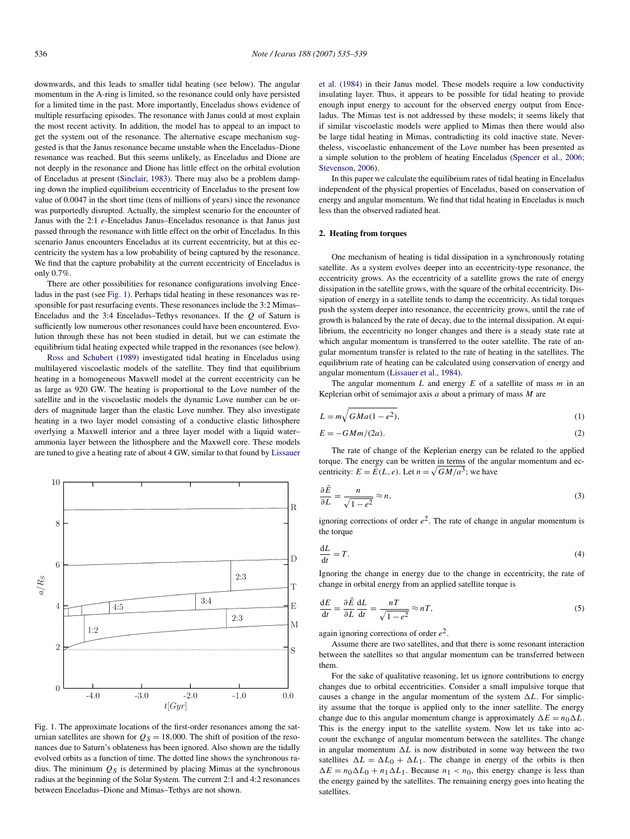<span id="page-1-0"></span>downwards, and this leads to smaller tidal heating (see below). The angular momentum in the A-ring is limited, so the resonance could only have persisted for a limited time in the past. More importantly, Enceladus shows evidence of multiple resurfacing episodes. The resonance with Janus could at most explain the most recent activity. In addition, the model has to appeal to an impact to get the system out of the resonance. The alternative escape mechanism suggested is that the Janus resonance became unstable when the Enceladus–Dione resonance was reached. But this seems unlikely, as Enceladus and Dione are not deeply in the resonance and Dione has little effect on the orbital evolution of Enceladus at present [\(Sinclair, 1983\)](#page-4-0). There may also be a problem damping down the implied equilibrium eccentricity of Enceladus to the present low value of 0.0047 in the short time (tens of millions of years) since the resonance was purportedly disrupted. Actually, the simplest scenario for the encounter of Janus with the 2:1 *e*-Enceladus Janus–Enceladus resonance is that Janus just passed through the resonance with little effect on the orbit of Enceladus. In this scenario Janus encounters Enceladus at its current eccentricity, but at this eccentricity the system has a low probability of being captured by the resonance. We find that the capture probability at the current eccentricity of Enceladus is only 0.7%.

There are other possibilities for resonance configurations involving Enceladus in the past (see Fig. 1). Perhaps tidal heating in these resonances was responsible for past resurfacing events. These resonances include the 3:2 Mimas– Enceladus and the 3:4 Enceladus–Tethys resonances. If the *Q* of Saturn is sufficiently low numerous other resonances could have been encountered. Evolution through these has not been studied in detail, but we can estimate the equilibrium tidal heating expected while trapped in the resonances (see below).

[Ross and Schubert \(1989\)](#page-4-0) investigated tidal heating in Enceladus using multilayered viscoelastic models of the satellite. They find that equilibrium heating in a homogeneous Maxwell model at the current eccentricity can be as large as 920 GW. The heating is proportional to the Love number of the satellite and in the viscoelastic models the dynamic Love number can be orders of magnitude larger than the elastic Love number. They also investigate heating in a two layer model consisting of a conductive elastic lithosphere overlying a Maxwell interior and a three layer model with a liquid water– ammonia layer between the lithosphere and the Maxwell core. These models are tuned to give a heating rate of about 4 GW, similar to that found by [Lissauer](#page-4-0)



Fig. 1. The approximate locations of the first-order resonances among the saturnian satellites are shown for  $Q_S = 18,000$ . The shift of position of the resonances due to Saturn's oblateness has been ignored. Also shown are the tidally evolved orbits as a function of time. The dotted line shows the synchronous radius. The minimum  $\mathcal{Q}_S$  is determined by placing Mimas at the synchronous radius at the beginning of the Solar System. The current 2:1 and 4:2 resonances between Enceladus–Dione and Mimas–Tethys are not shown.

[et al. \(1984\)](#page-4-0) in their Janus model. These models require a low conductivity insulating layer. Thus, it appears to be possible for tidal heating to provide enough input energy to account for the observed energy output from Enceladus. The Mimas test is not addressed by these models; it seems likely that if similar viscoelastic models were applied to Mimas then there would also be large tidal heating in Mimas, contradicting its cold inactive state. Nevertheless, viscoelastic enhancement of the Love number has been presented as a simple solution to the problem of heating Enceladus [\(Spencer et al., 2006;](#page-4-0) [Stevenson, 2006\)](#page-4-0).

In this paper we calculate the equilibrium rates of tidal heating in Enceladus independent of the physical properties of Enceladus, based on conservation of energy and angular momentum. We find that tidal heating in Enceladus is much less than the observed radiated heat.

#### **2. Heating from torques**

One mechanism of heating is tidal dissipation in a synchronously rotating satellite. As a system evolves deeper into an eccentricity-type resonance, the eccentricity grows. As the eccentricity of a satellite grows the rate of energy dissipation in the satellite grows, with the square of the orbital eccentricity. Dissipation of energy in a satellite tends to damp the eccentricity. As tidal torques push the system deeper into resonance, the eccentricity grows, until the rate of growth is balanced by the rate of decay, due to the internal dissipation. At equilibrium, the eccentricity no longer changes and there is a steady state rate at which angular momentum is transferred to the outer satellite. The rate of angular momentum transfer is related to the rate of heating in the satellites. The equilibrium rate of heating can be calculated using conservation of energy and angular momentum [\(Lissauer et al., 1984\)](#page-4-0).

The angular momentum *L* and energy *E* of a satellite of mass *m* in an Keplerian orbit of semimajor axis *a* about a primary of mass *M* are

$$
L = m\sqrt{GMa(1 - e^2)},\tag{1}
$$

$$
E = -GMm/(2a). \tag{2}
$$

The rate of change of the Keplerian energy can be related to the applied torque. The energy can be written in terms of the angular momentum and eccentricity:  $E = \tilde{E}(L, e)$ . Let  $n = \sqrt{GM/a^3}$ ; we have

$$
\frac{\partial \tilde{E}}{\partial L} = \frac{n}{\sqrt{1 - e^2}} \approx n,\tag{3}
$$

ignoring corrections of order  $e^2$ . The rate of change in angular momentum is the torque

$$
\frac{\mathrm{d}L}{\mathrm{d}t} = T.\tag{4}
$$

Ignoring the change in energy due to the change in eccentricity, the rate of change in orbital energy from an applied satellite torque is

$$
\frac{dE}{dt} = \frac{\partial \tilde{E}}{\partial L} \frac{dL}{dt} = \frac{nT}{\sqrt{1 - e^2}} \approx nT,\tag{5}
$$

again ignoring corrections of order *e*2.

Assume there are two satellites, and that there is some resonant interaction between the satellites so that angular momentum can be transferred between them.

For the sake of qualitative reasoning, let us ignore contributions to energy changes due to orbital eccentricities. Consider a small impulsive torque that causes a change in the angular momentum of the system  $\Delta L$ . For simplicity assume that the torque is applied only to the inner satellite. The energy change due to this angular momentum change is approximately  $\Delta E = n_0 \Delta L$ . This is the energy input to the satellite system. Now let us take into account the exchange of angular momentum between the satellites. The change in angular momentum  $\Delta L$  is now distributed in some way between the two satellites  $\Delta L = \Delta L_0 + \Delta L_1$ . The change in energy of the orbits is then  $\Delta E = n_0 \Delta L_0 + n_1 \Delta L_1$ . Because  $n_1 < n_0$ , this energy change is less than the energy gained by the satellites. The remaining energy goes into heating the satellites.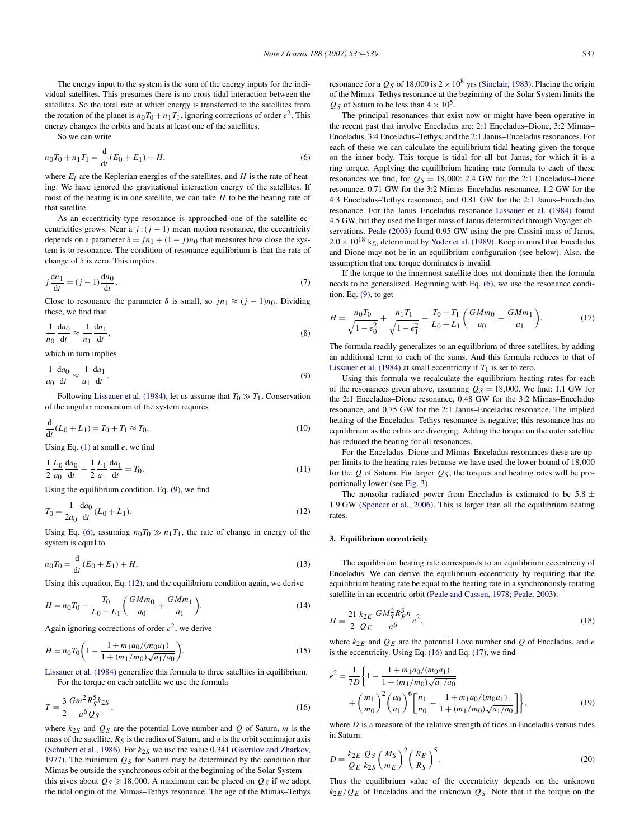<span id="page-2-0"></span>The energy input to the system is the sum of the energy inputs for the individual satellites. This presumes there is no cross tidal interaction between the satellites. So the total rate at which energy is transferred to the satellites from the rotation of the planet is  $n_0T_0 + n_1T_1$ , ignoring corrections of order  $e^2$ . This energy changes the orbits and heats at least one of the satellites.

So we can write

$$
n_0 T_0 + n_1 T_1 = \frac{d}{dt} (E_0 + E_1) + H,\tag{6}
$$

where  $E_i$  are the Keplerian energies of the satellites, and  $H$  is the rate of heating. We have ignored the gravitational interaction energy of the satellites. If most of the heating is in one satellite, we can take *H* to be the heating rate of that satellite.

As an eccentricity-type resonance is approached one of the satellite eccentricities grows. Near a  $j$  : $(j - 1)$  mean motion resonance, the eccentricity depends on a parameter  $\delta = jn_1 + (1 - j)n_0$  that measures how close the system is to resonance. The condition of resonance equilibrium is that the rate of change of *δ* is zero. This implies

$$
j\frac{\mathrm{d}n_1}{\mathrm{d}t} = (j-1)\frac{\mathrm{d}n_0}{\mathrm{d}t}.\tag{7}
$$

Close to resonance the parameter  $\delta$  is small, so  $jn_1 \approx (j - 1)n_0$ . Dividing these, we find that

$$
\frac{1}{n_0} \frac{dn_0}{dt} \approx \frac{1}{n_1} \frac{dn_1}{dt},\tag{8}
$$

which in turn implies

$$
\frac{1}{a_0} \frac{da_0}{dt} \approx \frac{1}{a_1} \frac{da_1}{dt}.
$$
\n(9)

Following [Lissauer et al. \(1984\),](#page-4-0) let us assume that  $T_0 \gg T_1$ . Conservation of the angular momentum of the system requires

$$
\frac{d}{dt}(L_0 + L_1) = T_0 + T_1 \approx T_0.
$$
\n(10)

Using Eq. [\(1\)](#page-1-0) at small *e*, we find

$$
\frac{1}{2} \frac{L_0}{a_0} \frac{da_0}{dt} + \frac{1}{2} \frac{L_1}{a_1} \frac{da_1}{dt} = T_0.
$$
\n(11)

Using the equilibrium condition, Eq. (9), we find

$$
T_0 = \frac{1}{2a_0} \frac{da_0}{dt} (L_0 + L_1).
$$
 (12)

Using Eq. (6), assuming  $n_0T_0 \gg n_1T_1$ , the rate of change in energy of the system is equal to

$$
n_0 T_0 = \frac{d}{dt} (E_0 + E_1) + H.
$$
\n(13)

Using this equation, Eq. (12), and the equilibrium condition again, we derive

$$
H = n_0 T_0 - \frac{T_0}{L_0 + L_1} \left( \frac{GMm_0}{a_0} + \frac{GMm_1}{a_1} \right).
$$
 (14)

Again ignoring corrections of order  $e^2$ , we derive

$$
H = n_0 T_0 \left( 1 - \frac{1 + m_1 a_0 / (m_0 a_1)}{1 + (m_1 / m_0) \sqrt{a_1 / a_0}} \right).
$$
 (15)

[Lissauer et al. \(1984\)](#page-4-0) generalize this formula to three satellites in equilibrium. For the torque on each satellite we use the formula

$$
T = \frac{3}{2} \frac{Gm^2 R_S^5 k_{2S}}{a^6 Q_S},\tag{16}
$$

where  $k_{2S}$  and  $Q_S$  are the potential Love number and  $Q$  of Saturn, *m* is the mass of the satellite,  $R_S$  is the radius of Saturn, and  $a$  is the orbit semimajor axis [\(Schubert et al., 1986\)](#page-4-0). For  $k_{2S}$  we use the value 0.341 [\(Gavrilov and Zharkov,](#page-4-0) [1977\)](#page-4-0). The minimum  $Q_S$  for Saturn may be determined by the condition that Mimas be outside the synchronous orbit at the beginning of the Solar System this gives about  $Q_S \ge 18,000$ . A maximum can be placed on  $Q_S$  if we adopt the tidal origin of the Mimas–Tethys resonance. The age of the Mimas–Tethys resonance for a  $Q_S$  of 18,000 is  $2 \times 10^8$  yrs [\(Sinclair, 1983\)](#page-4-0). Placing the origin of the Mimas–Tethys resonance at the beginning of the Solar System limits the  $Q_S$  of Saturn to be less than  $4 \times 10^5$ .

The principal resonances that exist now or might have been operative in the recent past that involve Enceladus are: 2:1 Enceladus–Dione, 3:2 Mimas– Enceladus, 3:4 Enceladus–Tethys, and the 2:1 Janus–Enceladus resonances. For each of these we can calculate the equilibrium tidal heating given the torque on the inner body. This torque is tidal for all but Janus, for which it is a ring torque. Applying the equilibrium heating rate formula to each of these resonances we find, for  $Q_S = 18,000$ : 2.4 GW for the 2:1 Enceladus–Dione resonance, 0.71 GW for the 3:2 Mimas–Enceladus resonance, 1.2 GW for the 4:3 Enceladus–Tethys resonance, and 0.81 GW for the 2:1 Janus–Enceladus resonance. For the Janus–Enceladus resonance [Lissauer et al. \(1984\)](#page-4-0) found 4.5 GW, but they used the larger mass of Janus determined through Voyager observations. [Peale \(2003\)](#page-4-0) found 0.95 GW using the pre-Cassini mass of Janus,  $2.0 \times 10^{18}$  kg, determined by [Yoder et al. \(1989\).](#page-4-0) Keep in mind that Enceladus and Dione may not be in an equilibrium configuration (see below). Also, the assumption that one torque dominates is invalid.

If the torque to the innermost satellite does not dominate then the formula needs to be generalized. Beginning with Eq. (6), we use the resonance condition, Eq. (9), to get

$$
H = \frac{n_0 T_0}{\sqrt{1 - e_0^2}} + \frac{n_1 T_1}{\sqrt{1 - e_1^2}} - \frac{T_0 + T_1}{L_0 + L_1} \left(\frac{GMm_0}{a_0} + \frac{GMm_1}{a_1}\right).
$$
 (17)

The formula readily generalizes to an equilibrium of three satellites, by adding an additional term to each of the sums. And this formula reduces to that of [Lissauer et al. \(1984\)](#page-4-0) at small eccentricity if  $T_1$  is set to zero.

Using this formula we recalculate the equilibrium heating rates for each of the resonances given above, assuming  $Q_s = 18,000$ . We find: 1.1 GW for the 2:1 Enceladus–Dione resonance, 0.48 GW for the 3:2 Mimas–Enceladus resonance, and 0.75 GW for the 2:1 Janus–Enceladus resonance. The implied heating of the Enceladus–Tethys resonance is negative; this resonance has no equilibrium as the orbits are diverging. Adding the torque on the outer satellite has reduced the heating for all resonances.

For the Enceladus–Dione and Mimas–Enceladus resonances these are upper limits to the heating rates because we have used the lower bound of 18*,*000 for the  $Q$  of Saturn. For larger  $Q_S$ , the torques and heating rates will be proportionally lower (see [Fig. 3\)](#page-3-0).

The nonsolar radiated power from Enceladus is estimated to be  $5.8 \pm$ 1*.*9 GW [\(Spencer et al., 2006\)](#page-4-0). This is larger than all the equilibrium heating rates.

## **3. Equilibrium eccentricity**

The equilibrium heating rate corresponds to an equilibrium eccentricity of Enceladus. We can derive the equilibrium eccentricity by requiring that the equilibrium heating rate be equal to the heating rate in a synchronously rotating satellite in an eccentric orbit [\(Peale and Cassen, 1978; Peale, 2003\)](#page-4-0):

$$
H = \frac{21}{2} \frac{k_{2E}}{Q_E} \frac{GM_S^2 R_E^5 n}{a^6} e^2,
$$
\n(18)

where  $k_{2E}$  and  $Q_E$  are the potential Love number and  $Q$  of Enceladus, and  $e$ is the eccentricity. Using Eq. (16) and Eq. (17), we find

$$
e^{2} = \frac{1}{7D} \left\{ 1 - \frac{1 + m_{1}a_{0}/(m_{0}a_{1})}{1 + (m_{1}/m_{0})\sqrt{a_{1}/a_{0}}} + \left(\frac{m_{1}}{m_{0}}\right)^{2} \left(\frac{a_{0}}{a_{1}}\right)^{6} \left[\frac{n_{1}}{n_{0}} - \frac{1 + m_{1}a_{0}/(m_{0}a_{1})}{1 + (m_{1}/m_{0})\sqrt{a_{1}/a_{0}}} \right] \right\},
$$
\n(19)

where *D* is a measure of the relative strength of tides in Enceladus versus tides in Saturn:

$$
D = \frac{k_{2E}}{Q_E} \frac{Q_S}{k_{2S}} \left(\frac{M_S}{m_E}\right)^2 \left(\frac{R_E}{R_S}\right)^5.
$$
 (20)

Thus the equilibrium value of the eccentricity depends on the unknown  $k_{2E}/Q_E$  of Enceladus and the unknown  $Q_S$ . Note that if the torque on the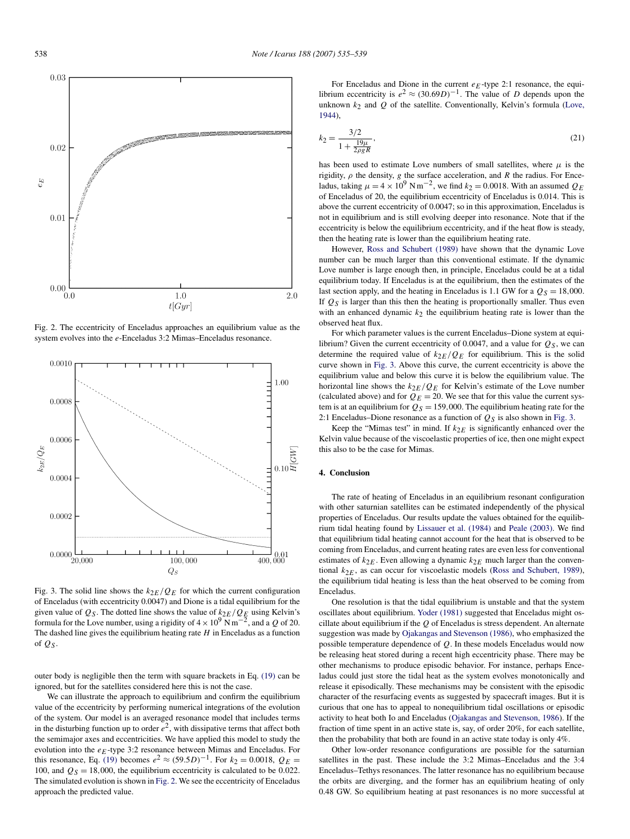<span id="page-3-0"></span>

Fig. 2. The eccentricity of Enceladus approaches an equilibrium value as the system evolves into the *e*-Enceladus 3:2 Mimas–Enceladus resonance.



Fig. 3. The solid line shows the  $k_{2E}/Q_E$  for which the current configuration of Enceladus (with eccentricity 0.0047) and Dione is a tidal equilibrium for the given value of  $Q_S$ . The dotted line shows the value of  $k_{2E}/Q_E$  using Kelvin's formula for the Love number, using a rigidity of  $4 \times 10^9$  N m<sup>-2</sup>, and a *Q* of 20. The dashed line gives the equilibrium heating rate *H* in Enceladus as a function of *QS* .

outer body is negligible then the term with square brackets in Eq. [\(19\)](#page-2-0) can be ignored, but for the satellites considered here this is not the case.

We can illustrate the approach to equilibrium and confirm the equilibrium value of the eccentricity by performing numerical integrations of the evolution of the system. Our model is an averaged resonance model that includes terms in the disturbing function up to order  $e^2$ , with dissipative terms that affect both the semimajor axes and eccentricities. We have applied this model to study the evolution into the  $e_E$ -type 3:2 resonance between Mimas and Enceladus. For this resonance, Eq. [\(19\)](#page-2-0) becomes  $e^2 \approx (59.5D)^{-1}$ . For  $k_2 = 0.0018$ ,  $Q_E =$ 100, and  $Q_S = 18,000$ , the equilibrium eccentricity is calculated to be 0.022. The simulated evolution is shown in Fig. 2. We see the eccentricity of Enceladus approach the predicted value.

For Enceladus and Dione in the current  $e_F$ -type 2:1 resonance, the equilibrium eccentricity is  $e^2 \approx (30.69D)^{-1}$ . The value of *D* depends upon the unknown  $k_2$  and  $Q$  of the satellite. Conventionally, Kelvin's formula [\(Love,](#page-4-0) [1944\)](#page-4-0),

$$
k_2 = \frac{3/2}{1 + \frac{19\mu}{2\rho g R}},\tag{21}
$$

has been used to estimate Love numbers of small satellites, where  $\mu$  is the rigidity,  $\rho$  the density,  $g$  the surface acceleration, and  $R$  the radius. For Enceladus, taking  $\mu = 4 \times 10^9$  N m<sup>-2</sup>, we find  $k_2 = 0.0018$ . With an assumed  $Q_E$ of Enceladus of 20, the equilibrium eccentricity of Enceladus is 0.014. This is above the current eccentricity of 0.0047; so in this approximation, Enceladus is not in equilibrium and is still evolving deeper into resonance. Note that if the eccentricity is below the equilibrium eccentricity, and if the heat flow is steady, then the heating rate is lower than the equilibrium heating rate.

However, [Ross and Schubert \(1989\)](#page-4-0) have shown that the dynamic Love number can be much larger than this conventional estimate. If the dynamic Love number is large enough then, in principle, Enceladus could be at a tidal equilibrium today. If Enceladus is at the equilibrium, then the estimates of the last section apply, and the heating in Enceladus is 1.1 GW for a  $Q_S = 18,000$ . If  $Q_S$  is larger than this then the heating is proportionally smaller. Thus even with an enhanced dynamic  $k_2$  the equilibrium heating rate is lower than the observed heat flux.

For which parameter values is the current Enceladus–Dione system at equilibrium? Given the current eccentricity of 0.0047, and a value for  $Q_S$ , we can determine the required value of  $k_{2E}/Q_E$  for equilibrium. This is the solid curve shown in Fig. 3. Above this curve, the current eccentricity is above the equilibrium value and below this curve it is below the equilibrium value. The horizontal line shows the *k*2*E/QE* for Kelvin's estimate of the Love number (calculated above) and for  $Q_E = 20$ . We see that for this value the current system is at an equilibrium for  $Q_S = 159,000$ . The equilibrium heating rate for the 2:1 Enceladus–Dione resonance as a function of  $Q_S$  is also shown in Fig. 3.

Keep the "Mimas test" in mind. If  $k_{2E}$  is significantly enhanced over the Kelvin value because of the viscoelastic properties of ice, then one might expect this also to be the case for Mimas.

#### **4. Conclusion**

The rate of heating of Enceladus in an equilibrium resonant configuration with other saturnian satellites can be estimated independently of the physical properties of Enceladus. Our results update the values obtained for the equilibrium tidal heating found by [Lissauer et al. \(1984\)](#page-4-0) and [Peale \(2003\).](#page-4-0) We find that equilibrium tidal heating cannot account for the heat that is observed to be coming from Enceladus, and current heating rates are even less for conventional estimates of  $k_{2E}$ . Even allowing a dynamic  $k_{2E}$  much larger than the conventional  $k_{2E}$ , as can occur for viscoelastic models [\(Ross and Schubert, 1989\)](#page-4-0), the equilibrium tidal heating is less than the heat observed to be coming from Enceladus.

One resolution is that the tidal equilibrium is unstable and that the system oscillates about equilibrium. [Yoder \(1981\)](#page-4-0) suggested that Enceladus might oscillate about equilibrium if the *Q* of Enceladus is stress dependent. An alternate suggestion was made by [Ojakangas and Stevenson \(1986\),](#page-4-0) who emphasized the possible temperature dependence of *Q*. In these models Enceladus would now be releasing heat stored during a recent high eccentricity phase. There may be other mechanisms to produce episodic behavior. For instance, perhaps Enceladus could just store the tidal heat as the system evolves monotonically and release it episodically. These mechanisms may be consistent with the episodic character of the resurfacing events as suggested by spacecraft images. But it is curious that one has to appeal to nonequilibrium tidal oscillations or episodic activity to heat both Io and Enceladus [\(Ojakangas and Stevenson, 1986\)](#page-4-0). If the fraction of time spent in an active state is, say, of order 20%, for each satellite, then the probability that both are found in an active state today is only 4%.

Other low-order resonance configurations are possible for the saturnian satellites in the past. These include the 3:2 Mimas–Enceladus and the 3:4 Enceladus–Tethys resonances. The latter resonance has no equilibrium because the orbits are diverging, and the former has an equilibrium heating of only 0.48 GW. So equilibrium heating at past resonances is no more successful at